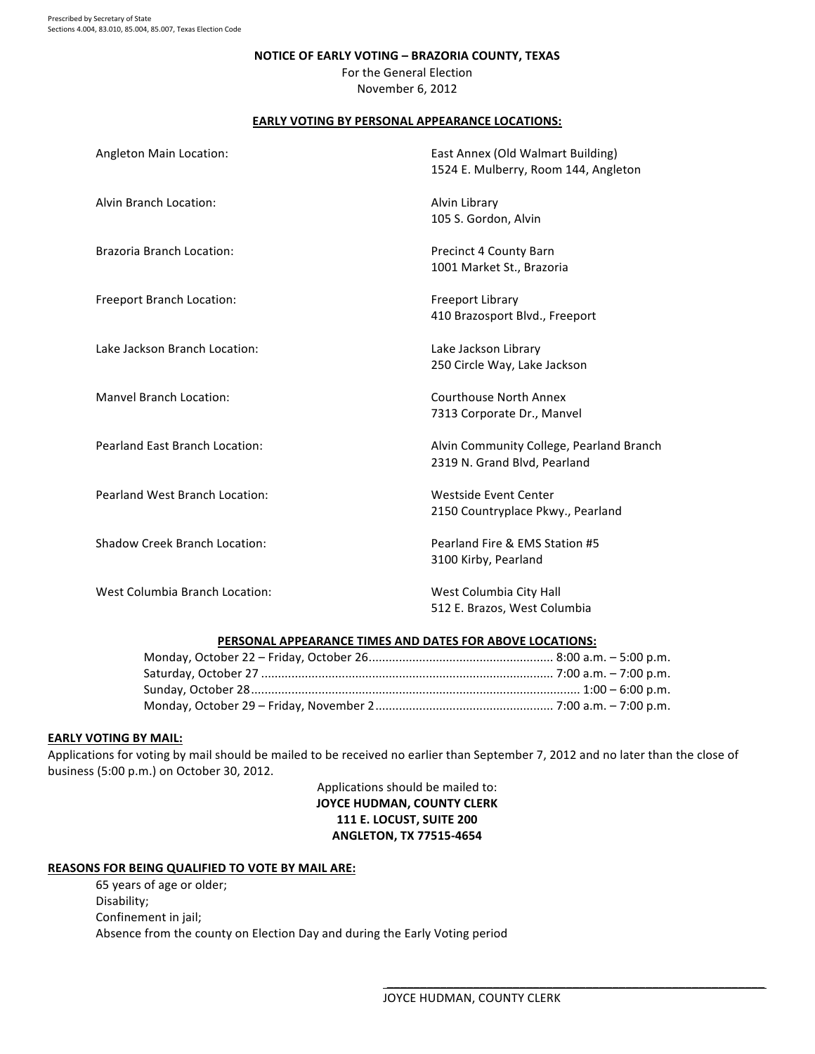#### NOTICE OF EARLY VOTING - BRAZORIA COUNTY, TEXAS

For the General Election November 6, 2012

# **EARLY VOTING BY PERSONAL APPEARANCE LOCATIONS:**

| Angleton Main Location:               | East Annex (Old Walmart Building)<br>1524 E. Mulberry, Room 144, Angleton |
|---------------------------------------|---------------------------------------------------------------------------|
| Alvin Branch Location:                | Alvin Library<br>105 S. Gordon, Alvin                                     |
| <b>Brazoria Branch Location:</b>      | Precinct 4 County Barn<br>1001 Market St., Brazoria                       |
| Freeport Branch Location:             | <b>Freeport Library</b><br>410 Brazosport Blvd., Freeport                 |
| Lake Jackson Branch Location:         | Lake Jackson Library<br>250 Circle Way, Lake Jackson                      |
| <b>Manyel Branch Location:</b>        | Courthouse North Annex<br>7313 Corporate Dr., Manvel                      |
| <b>Pearland East Branch Location:</b> | Alvin Community College, Pearland Branch<br>2319 N. Grand Blvd, Pearland  |
| Pearland West Branch Location:        | Westside Event Center<br>2150 Countryplace Pkwy., Pearland                |
| <b>Shadow Creek Branch Location:</b>  | Pearland Fire & EMS Station #5<br>3100 Kirby, Pearland                    |
| West Columbia Branch Location:        | West Columbia City Hall<br>512 E. Brazos, West Columbia                   |

### PERSONAL APPEARANCE TIMES AND DATES FOR ABOVE LOCATIONS:

# **EARLY VOTING BY MAIL:**

Applications for voting by mail should be mailed to be received no earlier than September 7, 2012 and no later than the close of business (5:00 p.m.) on October 30, 2012.

# Applications should be mailed to: **JOYCE HUDMAN, COUNTY CLERK 111 E. LOCUST, SUITE 200 ANGLETON, TX 77515-4654**

## **REASONS FOR BEING QUALIFIED TO VOTE BY MAIL ARE:**

65 years of age or older; Disability; Confinement in jail; Absence from the county on Election Day and during the Early Voting period

 $\frac{1}{2}$  ,  $\frac{1}{2}$  ,  $\frac{1}{2}$  ,  $\frac{1}{2}$  ,  $\frac{1}{2}$  ,  $\frac{1}{2}$  ,  $\frac{1}{2}$  ,  $\frac{1}{2}$  ,  $\frac{1}{2}$  ,  $\frac{1}{2}$  ,  $\frac{1}{2}$  ,  $\frac{1}{2}$  ,  $\frac{1}{2}$  ,  $\frac{1}{2}$  ,  $\frac{1}{2}$  ,  $\frac{1}{2}$  ,  $\frac{1}{2}$  ,  $\frac{1}{2}$  ,  $\frac{1$